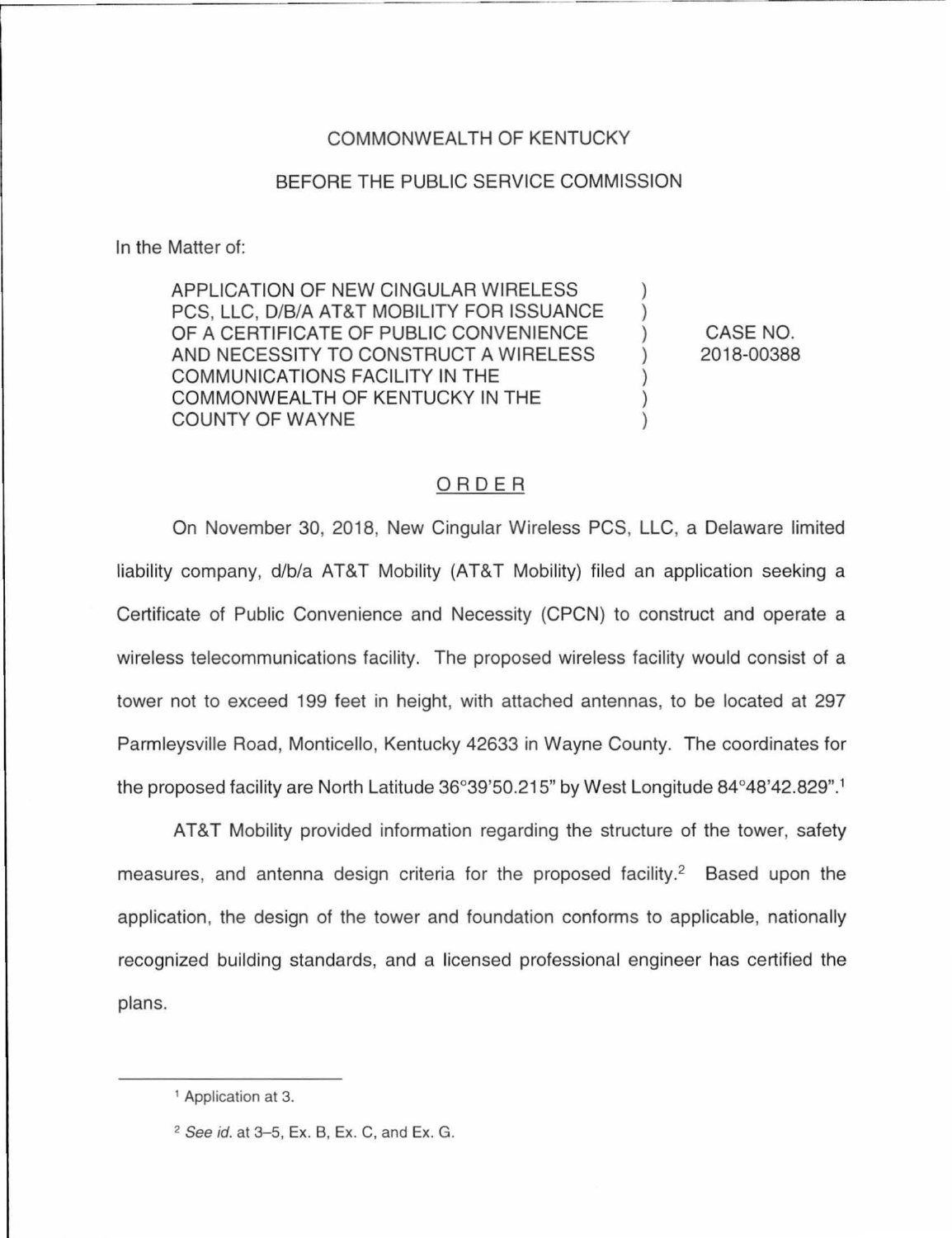## COMMONWEALTH OF KENTUCKY

## BEFORE THE PUBLIC SERVICE COMMISSION

In the Matter of:

APPLICATION OF NEW CINGULAR WIRELESS PCS, LLC, D/B/A AT&T MOBILITY FOR ISSUANCE OF A CERTIFICATE OF PUBLIC CONVENIENCE AND NECESSITY TO CONSTRUCT A WIRELESS COMMUNICATIONS FACILITY IN THE COMMONWEALTH OF KENTUCKY IN THE COUNTY OF WAYNE

CASE NO. 2018-00388

) ) ) ) ) ) )

## ORDER

On November 30, 2018, New Cingular Wireless PCS, LLC, a Delaware limited liability company, d/b/a AT&T Mobility (AT&T Mobility) filed an application seeking a Certificate of Public Convenience and Necessity (CPCN) to construct and operate a wireless telecommunications facility. The proposed wireless facility would consist of a tower not to exceed 199 feet in height, with attached antennas, to be located at 297 Parmleysville Road, Monticello, Kentucky 42633 in Wayne County. The coordinates for the proposed facility are North Latitude 36°39'50.215" by West Longitude 84°48'42.829".<sup>1</sup>

AT&T Mobility provided information regarding the structure of the tower, safety measures, and antenna design criteria for the proposed facility.<sup>2</sup> Based upon the application, the design of the tower and foundation conforms to applicable, nationally recognized building standards, and a licensed professional engineer has certified the plans.

<sup>&</sup>lt;sup>1</sup> Application at 3.

<sup>2</sup> See id. at 3-5, Ex. B, Ex. C, and Ex. G.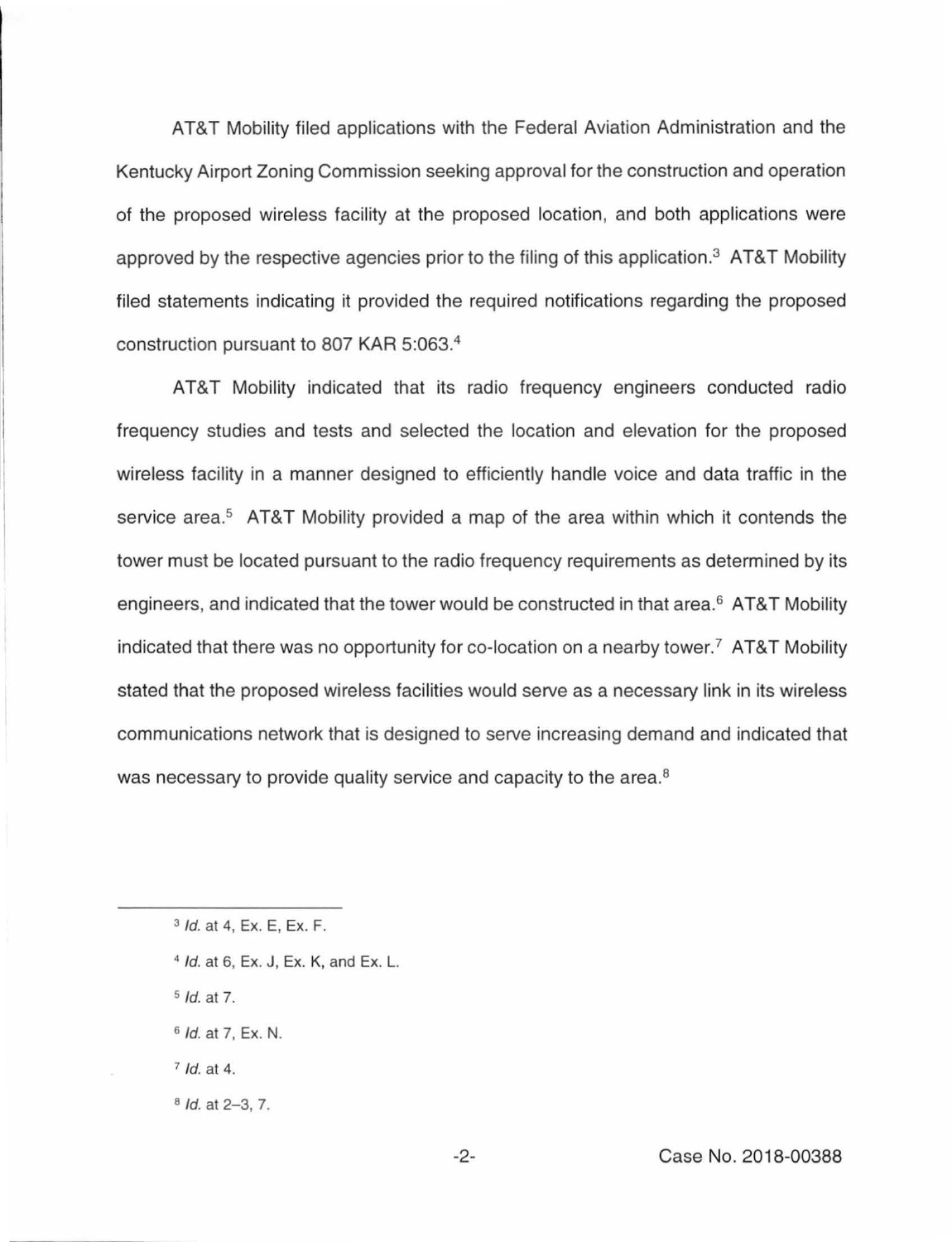AT&T Mobility filed applications with the Federal Aviation Administration and the Kentucky Airport Zoning Commission seeking approval for the construction and operation of the proposed wireless facility at the proposed location, and both applications were approved by the respective agencies prior to the filing of this application.3 AT&T Mobility filed statements indicating it provided the required notifications regarding the proposed construction pursuant to 807 KAR 5:063. 4

AT&T Mobility indicated that its radio frequency engineers conducted radio frequency studies and tests and selected the location and elevation for the proposed wireless facility in a manner designed to efficiently handle voice and data traffic in the service area.<sup>5</sup> AT&T Mobility provided a map of the area within which it contends the tower must be located pursuant to the radio frequency requirements as determined by its engineers, and indicated that the tower would be constructed in that area.<sup>6</sup> AT&T Mobility indicated that there was no opportunity for co-location on a nearby tower.<sup>7</sup> AT&T Mobility stated that the proposed wireless facilities would serve as a necessary link in its wireless communications network that is designed to serve increasing demand and indicated that was necessary to provide quality service and capacity to the area.<sup>8</sup>

- <sup>4</sup> *Id.* at 6, Ex. J, Ex. K, and Ex. L.
- $5$  *ld.* at 7.
- $6$  *Id.* at 7, Ex. N.
- $7$  *ld.* at 4.
- $8$  *Id.* at 2-3, 7.

<sup>3</sup> Id. at 4, Ex. E, Ex. F.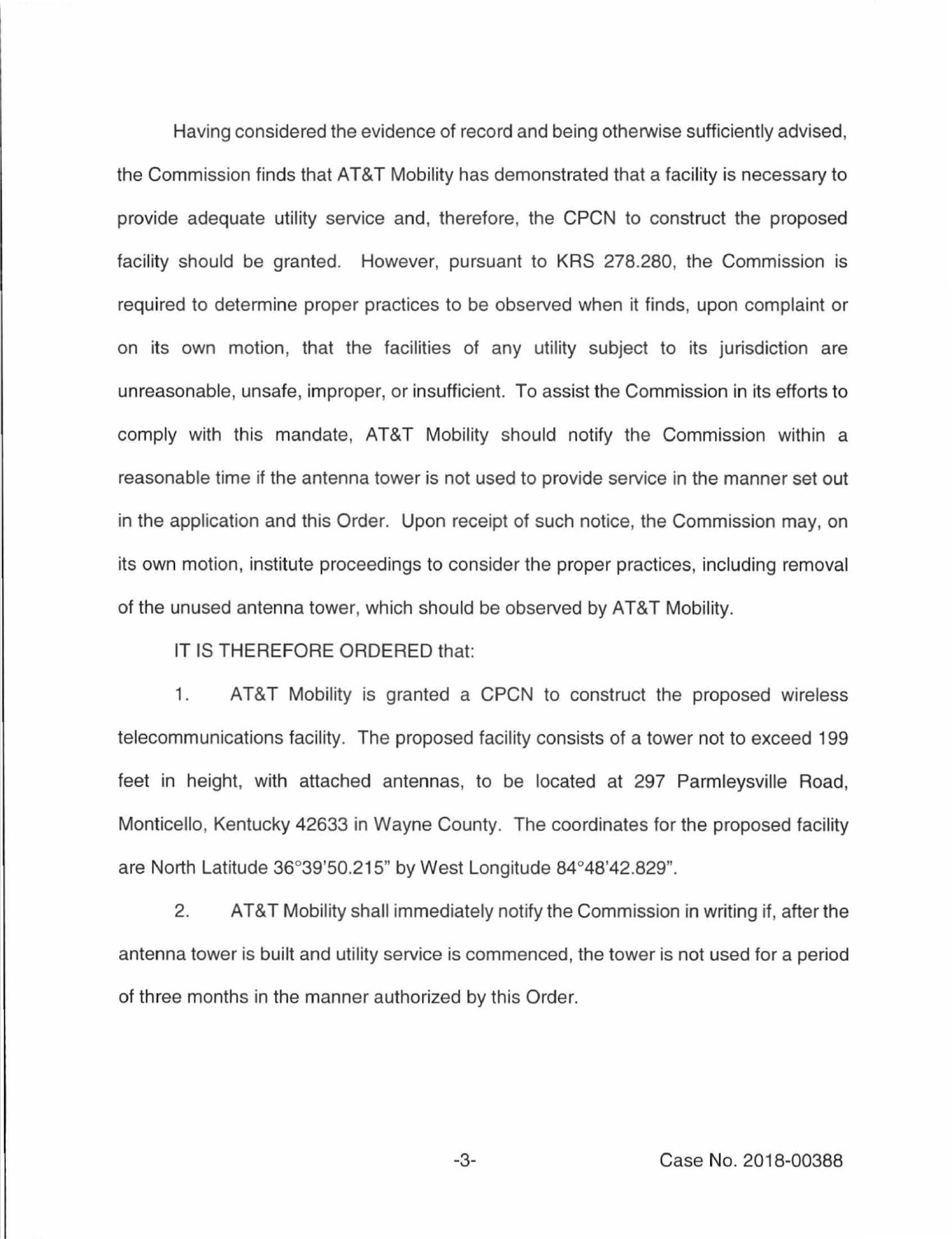Having considered the evidence of record and being otherwise sufficiently advised, the Commission finds that AT&T Mobility has demonstrated that a facility is necessary to provide adequate utility service and, therefore, the CPCN to construct the proposed facility should be granted. However, pursuant to KRS 278.280, the Commission is required to determine proper practices to be observed when it finds, upon complaint or on its own motion, that the facilities of any utility subject to its jurisdiction are unreasonable, unsafe, improper, or insufficient. To assist the Commission in its efforts to comply with this mandate, AT&T Mobility should notify the Commission within a reasonable time if the antenna tower is not used to provide service in the manner set out in the application and this Order. Upon receipt of such notice, the Commission may, on its own motion, institute proceedings to consider the proper practices, including removal of the unused antenna tower, which should be observed by AT&T Mobility.

IT IS THEREFORE ORDERED that:

1. AT&T Mobility is granted a CPCN to construct the proposed wireless telecommunications facility. The proposed facility consists of a tower not to exceed 199 feet in height, with attached antennas, to be located at 297 Parmleysville Road, Monticello, Kentucky 42633 in Wayne County. The coordinates for the proposed facility are North Latitude 36°39'50.215" by West Longitude 84°48'42.829".

2. AT&T Mobility shall immediately notify the Commission in writing if, after the antenna tower is built and utility service is commenced, the tower is not used for a period of three months in the manner authorized by this Order.

-3- Case No. 2018-00388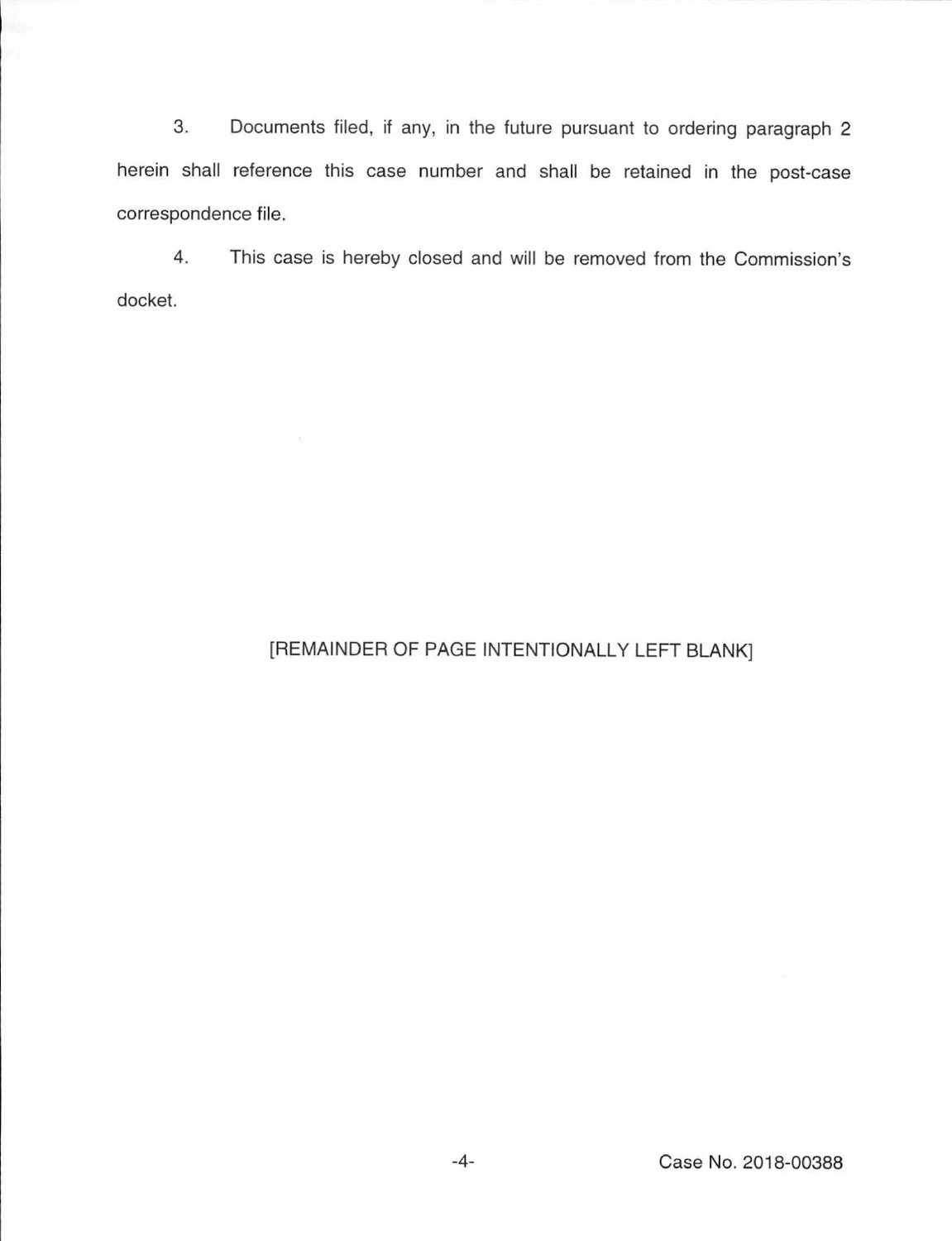3. Documents filed, if any, in the future pursuant to ordering paragraph 2 herein shall reference this case number and shall be retained in the post-case correspondence file.

4. This case is hereby closed and will be removed from the Commission's docket.

## [REMAINDER OF PAGE INTENTIONALLY LEFT BLANK]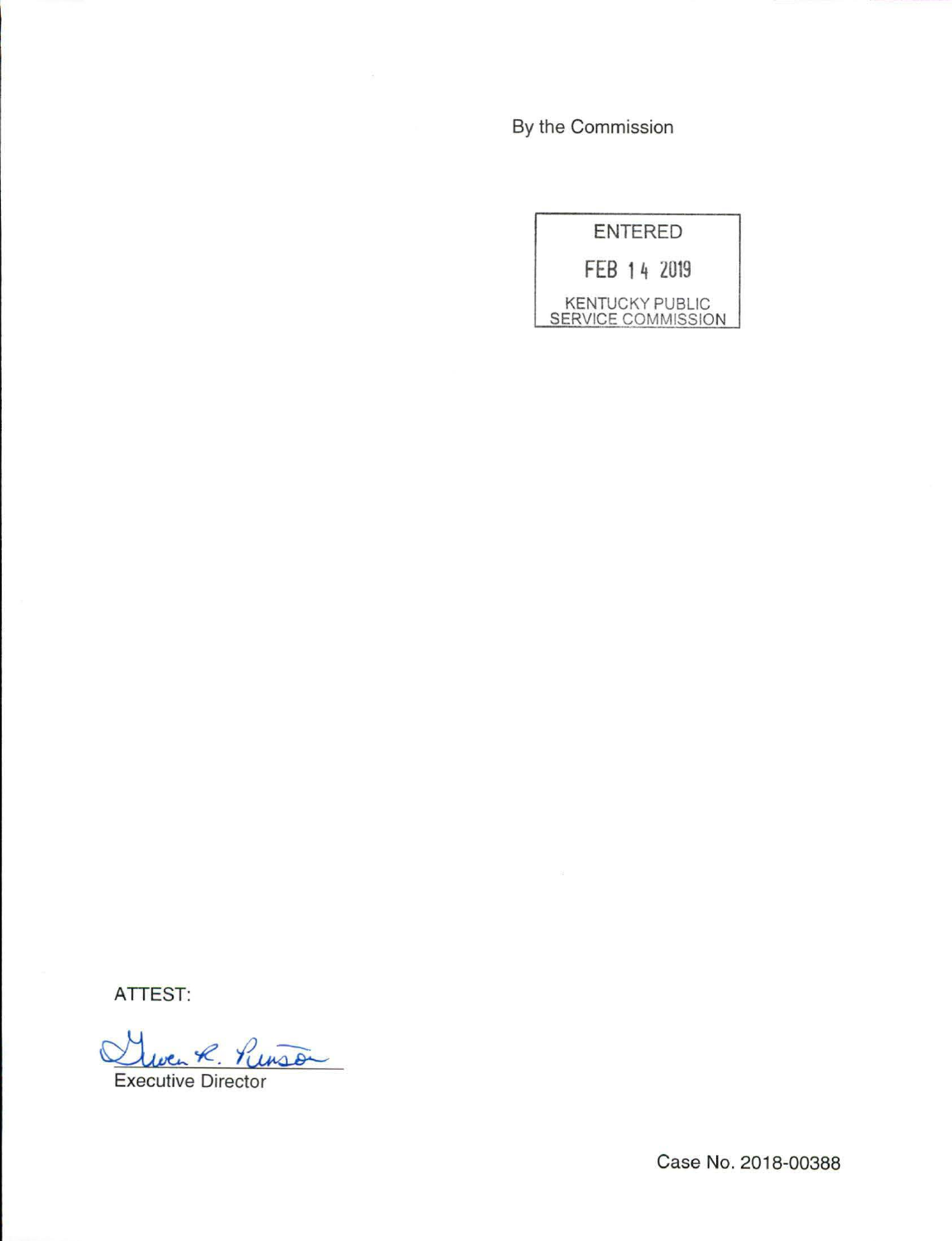By the Commission

|                                              | <b>ENTERED</b> |
|----------------------------------------------|----------------|
|                                              | FEB 14 2019    |
| <b>KENTUCKY PUBLIC</b><br>SERVICE COMMISSION |                |

**ATTEST:** 

ATTEST:<br>Cluen R. PUISSON

Case No. 2018-00388